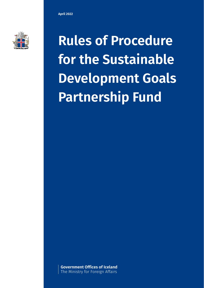

**Rules of Procedure for the Sustainable Development Goals Partnership Fund** 

**Government Offices of Iceland** The Ministry for Foreign Affairs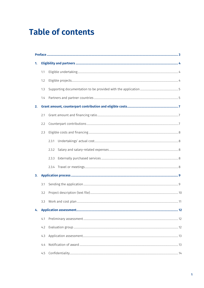# **Table of contents**

| 1. |     |       |  |  |  |  |
|----|-----|-------|--|--|--|--|
|    | 1.1 |       |  |  |  |  |
|    | 1.2 |       |  |  |  |  |
|    | 1.3 |       |  |  |  |  |
|    | 1.4 |       |  |  |  |  |
| 2. |     |       |  |  |  |  |
|    | 2.1 |       |  |  |  |  |
|    | 2.2 |       |  |  |  |  |
|    | 2.3 |       |  |  |  |  |
|    |     | 2.3.1 |  |  |  |  |
|    |     | 2.3.2 |  |  |  |  |
|    |     | 2.3.3 |  |  |  |  |
|    |     |       |  |  |  |  |
| 3. |     |       |  |  |  |  |
|    | 3.1 |       |  |  |  |  |
|    | 3.2 |       |  |  |  |  |
|    | 3.3 |       |  |  |  |  |
| 4. |     |       |  |  |  |  |
|    | 4.1 |       |  |  |  |  |
|    | 4.2 |       |  |  |  |  |
|    | 4.3 |       |  |  |  |  |
|    | 4.4 |       |  |  |  |  |
|    | 4.5 |       |  |  |  |  |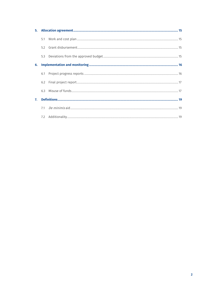|    | 5.3 |  |  |  |
|----|-----|--|--|--|
| 6. |     |  |  |  |
|    | 6.1 |  |  |  |
|    |     |  |  |  |
|    | 6.3 |  |  |  |
| 7. |     |  |  |  |
|    |     |  |  |  |
|    |     |  |  |  |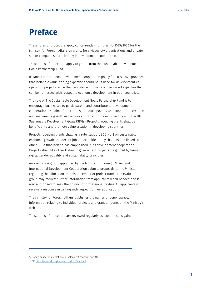## <span id="page-3-0"></span>**Preface**

These rules of procedure apply concurrently with rules No 1035/2020 for the Ministry for Foreign Affairs on grants for civil society organisations and private sector companies participating in development cooperation.

These rules of procedure apply to grants from the Sustainable Development Goals Partnership Fund

Iceland's international development cooperation policy for 2019–2023 provides that Icelandic value-adding expertise should be utilised for development cooperation projects, since the Icelandic economy is rich in varied expertise that can be harnessed with respect to economic development in poor countries.

The role of The Sustainable Development Goals Partnership Fund is to encourage businesses to participate in and contribute to development cooperation. The aim of the Fund is to reduce poverty and support job creation and sustainable growth in the poor countries of the world in line with the UN Sustainable Development Goals (SDGs). Projects receiving grants shall be beneficial to and promote value creation in developing countries.

Projects receiving grants shall, as a rule, support SDG No 8 on sustainable economic growth and decent job opportunities. They shall also be linked to other SDGs that Iceland has emphasised in its development cooperation. Projects shall, like other Icelandic government projects, be guided by human rights, gender equality and sustainability principles.<sup>[1](#page-3-1)</sup>

An evaluation group appointed by the Minister for Foreign Affairs and International Development Cooperation submits proposals to the Minister regarding the allocation and disbursement of project funds. The evaluation group may request further information from applicants when needed and is also authorised to seek the opinion of professional bodies. All applicants will receive a response in writing with respect to their applications.

The Ministry for Foreign Affairs publishes the names of beneficiaries, information relating to individual projects and grant amounts on the Ministry's website.

These rules of procedure are reviewed regularly as experience is gained.

<span id="page-3-1"></span>1 Iceland's policy for international development cooperation 2019– 202[3:https://www.althingi.is/altext/149/s/0416.html](https://www.althingi.is/altext/149/s/0416.html)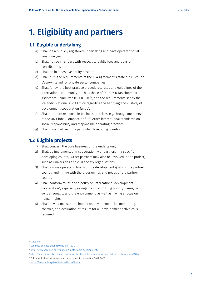# <span id="page-4-0"></span>**1. Eligibility and partners**

## <span id="page-4-1"></span>**1.1 Eligible undertaking**

- a) Shall be a publicly registered undertaking and have operated for at least one year.
- b) Shall not be in arrears with respect to public fees and pension contributions.
- c) Shall be in a positive equity position.
- d) Shall fulfil the requirements of the EEA Agreement's state aid rules<sup>[2](#page-4-3)</sup> on *de minimis* aid for private sector companies<sup>[3](#page-4-4)</sup>.
- e) Shall follow the best practice procedures, rules and guidelines of the international community, such as those of the OECD Development Assistance Committee (OECD-DAC)[4](#page-4-5) , and the requirements set by the Icelandic National Audit Office regarding the handling and custody of development cooperation funds<sup>[5](#page-4-6)</sup>.
- f) Shall promote responsible business practices, e.g. through membership of the UN Global Compact, or fulfil other international standards on social responsibility and responsible operating practices.
- g) Shall have partners in a particular developing country.

## <span id="page-4-2"></span>**1.2 Eligible projects**

- 1) Shall concern the core business of the undertaking.
- 2) Shall be implemented in cooperation with partners in a specific developing country. Other partners may also be involved in the project, such as universities and civil society organisations.
- 3) Shall always operate in line with the development goals of the partner country and in line with the programmes and needs of the partner country.
- 4) Shall conform to Iceland's policy on international development cooperation<sup>[6](#page-4-7)</sup>, especially as regards cross-cutting priority issues, i.e. gender equality and the environment, as well as having a focus on human rights.
- 5) Shall have a measurable impact on development, i.e. monitoring, controls, and evaluation of results for all development activities is required.

<span id="page-4-4"></span><span id="page-4-3"></span><sup>2</sup> [State Aid](https://www.stjornarradid.is/verkefni/atvinnuvegir/rikisadstod/)

<sup>&</sup>lt;sup>3</sup> Commission Regulation (EU) No 1407/2013

<sup>4</sup> <http://www.oecd.org/dac/financing-sustainable-development/>

<span id="page-4-6"></span><span id="page-4-5"></span><sup>5</sup> [https://www.stjornarradid.is/library/contentfiles/Leidbein\\_Rikisendurskodunar\\_um\\_eftirlit\\_med\\_styrkjum\\_juni2015.pdf](https://www.stjornarradid.is/library/contentfiles/Leidbein_Rikisendurskodunar_um_eftirlit_med_styrkjum_juni2015.pdf)

<span id="page-4-7"></span><sup>6</sup> Policy for Iceland's international development cooperation 2019–2023:

<https://www.althingi.is/altext/149/s/1424.html>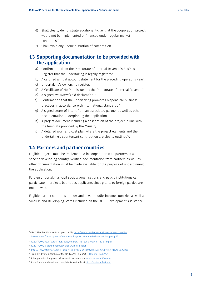- 6) Shall clearly demonstrate additionality, i.e. that the cooperation project would not be implemented or financed under regular market conditions.[7](#page-5-2)
- 7) Shall avoid any undue distortion of competition.

### <span id="page-5-0"></span>**1.3 Supporting documentation to be provided with the application**

- a) Confirmation from the Directorate of Internal Revenue's Business Register that the undertaking is legally registered.
- b) A certified annual account statement for the preceding operating year $^8$  $^8$ .
- c) Undertaking's ownership register.
- d) A Certificate of No Debt issued by the Directorate of Internal Revenue<sup>[9](#page-5-4)</sup>.
- e) A signed *de minimis* aid declaration<sup>10</sup>.
- f) Confirmation that the undertaking promotes responsible business practices in accordance with international standards<sup>11</sup>.
- g) A signed Letter of Intent from an associated partner as well as other documentation underpinning the application.
- h) A project document including a description of the project in line with the template provided by the Ministry<sup>[12](#page-5-7)</sup>.
- i) A detailed work and cost plan where the project elements and the undertaking's counterpart contribution are clearly outlined<sup>[13](#page-5-8)</sup>.

#### <span id="page-5-1"></span>**1.4 Partners and partner countries**

Eligible projects must be implemented in cooperation with partners in a specific developing country. Verified documentation from partners as well as other documentation must be made available for the purpose of underpinning the application.

Foreign undertakings, civil society organisations and public institutions can participate in projects but not as applicants since grants to foreign parties are not allowed.

Eligible partner countries are low and lower middle-income countries as well as Small Island Developing States included on the OECD Development Assistance

<span id="page-5-2"></span><sup>7</sup> OECD Blended Finance Principles 2a, 2b[, https://www.oecd.org/dac/financing-sustainable](https://www.oecd.org/dac/financing-sustainable-development/development-finance-topics/OECD-Blended-Finance-Principles.pdf)[development/development-finance-topics/OECD-Blended-Finance-Principles.pdf](https://www.oecd.org/dac/financing-sustainable-development/development-finance-topics/OECD-Blended-Finance-Principles.pdf)

<span id="page-5-3"></span><sup>&</sup>lt;sup>8</sup> [https://www.fle.is/static/files/2015/ymislegt/fle\\_baeklingur\\_01\\_2015\\_ar.pdf](https://www.fle.is/static/files/2015/ymislegt/fle_baeklingur_01_2015_ar.pdf)

<span id="page-5-4"></span><sup>9</sup> <https://www.rsk.is/innheimta/vanskil/skuld-inneign/>

<span id="page-5-5"></span><sup>10</sup> [https://www.stjornarradid.is/library/06-Eydublod/De%20minimis%20yfirl%c3%bdsing.docx](https://www.stjornarradid.is/library/06-Eydublod/De%20minimis%20yfirl%C3%BDsing.docx)

<span id="page-5-6"></span><sup>&</sup>lt;sup>11</sup> Example: by membership of the UN Global Compact [\(UN Global Compact\)](https://www.unglobalcompact.org/).

<span id="page-5-7"></span> $12$  A template for the project document is available at  $utn.is/atvinnulifssjodur$ </u>

<span id="page-5-8"></span> $13$  A draft work and cost plan template is available at  $utn.is/atvinnulifssjodur$ </u>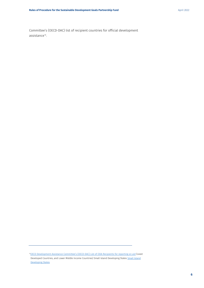Committee's (OECD-DAC) list of recipient countries for official development assistance<sup>14</sup>.

<span id="page-6-0"></span><sup>&</sup>lt;sup>14</sup>OECD Development Assistance Committee's (OECD-DAC) List of ODA Recipients for reporting on aid (Least Developed Countries, and Lower Middle Income Countries) Small Island Developing States Small Island [Developing States](https://sustainabledevelopment.un.org/topics/sids/list)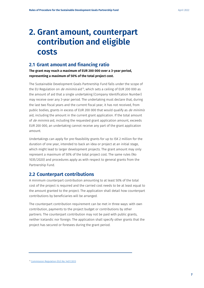# <span id="page-7-0"></span>**2. Grant amount, counterpart contribution and eligible costs**

#### <span id="page-7-1"></span>**2.1 Grant amount and financing ratio**

**The grant may reach a maximum of EUR 200 000 over a 3-year period, representing a maximum of 50% of the total project cost.**

The Sustainable Development Goals Partnership Fund falls under the scope of the EU Regulation on *de minimis* aid<sup>[15](#page-7-3)</sup>, which sets a ceiling of EUR 200 000 as the amount of aid that a single undertaking (Company Identification Number) may receive over any 3-year period. The undertaking must declare that, during the last two fiscal years and the current fiscal year, it has not received, from public bodies, grants in excess of EUR 200 000 that would qualify as de minimis aid, including the amount in the current grant application. If the total amount of *de minimis* aid, including the requested grant application amount, exceeds EUR 200 000, an undertaking cannot receive any part of the grant application amount.

Undertakings can apply for pre-feasibility grants for up to ISK 2 million for the duration of one year, intended to back an idea or project at an initial stage, which might lead to larger development projects. The grant amount may only represent a maximum of 50% of the total project cost. The same rules (No 1035/2020) and procedures apply as with respect to general grants from the Partnership Fund.

#### <span id="page-7-2"></span>**2.2 Counterpart contributions**

A minimum counterpart contribution amounting to at least 50% of the total cost of the project is required and the carried cost needs to be at least equal to the amount granted to the project. The application shall detail how counterpart contributions by beneficiaries will be arranged.

The counterpart contribution requirement can be met in three ways: with own contribution, payments to the project budget or contributions by other partners. The counterpart contribution may not be paid with public grants, neither Icelandic nor foreign. The application shall specify other grants that the project has secured or foresees during the grant period.

<span id="page-7-3"></span><sup>15</sup> [Commission Regulation \(EU\) No 1407/2013](https://eur-lex.europa.eu/legal-content/EN/TXT/HTML/?uri=CELEX:32013R1407&from=EN)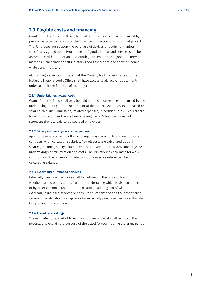#### <span id="page-8-0"></span>**2.3 Eligible costs and financing**

Grants from the Fund shall only be paid out based on real costs incurred by private sector undertakings or their partners on account of individual projects. The Fund does not support the purchase of devices or equipment unless specifically agreed upon. Procurement of goods, labour and services shall be in accordance with international accounting conventions and good procurement methods. Beneficiaries shall maintain good governance and show prudence while using the grant.

All grant agreements will state that the Ministry for Foreign Affairs and the Icelandic National Audit Office shall have access to all relevant documents in order to audit the finances of the project.

#### <span id="page-8-1"></span>**2.3.1 Undertakings' actual cost**

Grants from the Fund shall only be paid out based on real costs incurred by the undertaking or its partners on account of the project. Actual costs are based on salaries paid, including salary-related expenses, in addition to a 20% surcharge for administration and related undertaking costs. Actual cost does not represent the rate paid to outsourced employees.

#### <span id="page-8-2"></span>**2.3.2 Salary and salary-related expenses**

Applicants must consider collective bargaining agreements and institutional contracts when calculating salaries. Payroll costs are calculated as paid salaries, including salary-related expenses, in addition to a 20% surcharge for undertaking's administration and costs. The Ministry may cap rates for work contribution. The outsourcing rate cannot be used as reference when calculating salaries.

#### <span id="page-8-3"></span>**2.3.3 Externally purchased services**

Externally purchased services shall be outlined in the project descriptions, whether carried out by an institution or undertaking which is also an applicant or by other economic operators. An account shall be given of what the externally purchased services or consultancy consists of and the cost of such services. The Ministry may cap rates for externally purchased services. This shall be specified in the agreement.

#### <span id="page-8-4"></span>**2.3.4 Travel or meetings**

The estimated total cost of foreign and domestic travel shall be listed. It is necessary to explain the purpose of the travel foreseen during the grant period.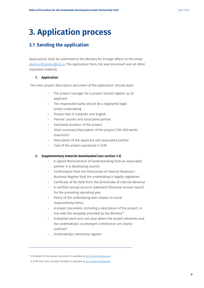# <span id="page-9-0"></span>**3. Application process**

### <span id="page-9-1"></span>**3.1 Sending the application**

Applications shall be submitted to the Ministry for Foreign Affairs to the email [atvinnulifssjodur@utn.is.](mailto:atvinnulifssjodur@utn.is) The application form, the exel document and all other requested material.

#### **1. Appiication**

The main project description document of the application should state:

- The project manager for a project should register as an applicant
- The responsible party should be a registered legal entity/undertaking
- Project title in Icelandic and English
- Partner country and associated partner
- Estimated duration of the project
- Short summary/description of the project (150–200 words maximum)
- Description of the applicant and associated partner
- Cost of the project expressed in EUR

#### **2. Supplementary material downloaded (see section 1.3)**

- A signed Memorandum of Understanding from an associated partner in a developing country
- Confirmation from the Directorate of Internal Revenue's Business Register that the undertaking is legally registered.
- Certificate of No Debt from the Directorate of Internal Revenue
- A certified annual account statement (financial annual report) for the preceding operating year
- Policy of the undertaking with respect to social responsibility/ethics
- A project document, including a description of the project, in line with the template provided by the Ministry<sup>16</sup>
- A detailed work and cost plan where the project elements and the undertaking's counterpart contribution are clearly outlined<sup>[17](#page-9-3)</sup>
- Undertaking's ownership register

<span id="page-9-2"></span><sup>&</sup>lt;sup>16</sup>A template for the project document is available a[t utn.is/atvinnulifssjodur](https://www.stjornarradid.is/verkefni/utanrikismal/throunarsamvinna/samstarf-vid-atvinnulifid/samstarfssjodur/)

<span id="page-9-3"></span><sup>17</sup> A draft work and cost plan template is available at [utn.is/atvinnulifssjodur](https://www.stjornarradid.is/verkefni/utanrikismal/throunarsamvinna/samstarf-vid-atvinnulifid/samstarfssjodur/)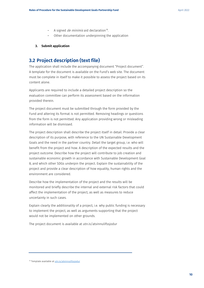- A signed *de minimis* aid declaration<sup>18</sup>.
- Other documentation underpinning the application

#### **3. Submit application**

## <span id="page-10-0"></span>**3.2 Project description (text file)**

The application shall include the accompanying document "Project document". A template for the document is available on the Fund's web site. The document must be complete in itself to make it possible to assess the project based on its content alone.

Applicants are required to include a detailed project description so the evaluation committee can perform its assessment based on the information provided therein.

The project document must be submitted through the form provided by the Fund and altering its format is not permitted. Removing headings or questions from the form is not permitted. Any application providing wrong or misleading information will be dismissed.

The project description shall describe the project itself in detail. Provide a clear description of its purpose, with reference to the UN Sustainable Development Goals and the need in the partner country. Detail the target group, i.e. who will benefit from the project and how. A description of the expected results and the project outcome. Describe how the project will contribute to job creation and sustainable economic growth in accordance with Sustainable Development Goal 8, and which other SDGs underpin the project. Explain the sustainability of the project and provide a clear description of how equality, human rights and the environment are considered.

Describe how the implementation of the project and the results will be monitored and briefly describe the internal and external risk factors that could affect the implementation of the project, as well as measures to reduce uncertainty in such cases.

Explain clearly the additionality of a project, i.e. why public funding is necessary to implement the project, as well as arguments supporting that the project would not be implemented on other grounds.

The project document is available at utn.is/atvinnulifssjodur

<span id="page-10-1"></span><sup>&</sup>lt;sup>18</sup> Template available a[t utn.is/atvinnulifssjodur](https://www.stjornarradid.is/verkefni/utanrikismal/throunarsamvinna/samstarf-vid-atvinnulifid/samstarfssjodur/)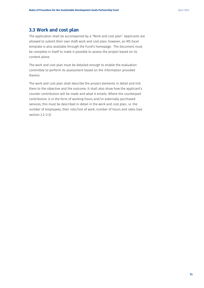#### <span id="page-11-0"></span>**3.3 Work and cost plan**

The application shall be accompanied by a "Work and cost plan". Applicants are allowed to submit their own draft work and cost plan; however, an MS Excel template is also available through the Fund's homepage. The document must be complete in itself to make it possible to assess the project based on its content alone.

The work and cost plan must be detailed enough to enable the evaluation committee to perform its assessment based on the information provided therein.

The work and cost plan shall describe the project elements in detail and link them to the objective and the outcome. It shall also show how the applicant's counter contribution will be made and what it entails. Where the counterpart contribution is in the form of working hours and/or externally purchased services, this must be described in detail in the work and cost plan, i.e. the number of employees, their role/line of work, number of hours and rates (see section 2.2–2.3).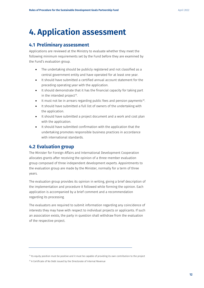# <span id="page-12-0"></span>**4. Application assessment**

## <span id="page-12-1"></span>**4.1 Preliminary assessment**

Applications are reviewed at the Ministry to evaluate whether they meet the following minimum requirements set by the Fund before they are examined by the Fund's evaluation group.

- The undertaking should be publicly registered and not classified as a central government entity and have operated for at least one year.
- It should have submitted a certified annual account statement for the preceding operating year with the application.
- It should demonstrate that it has the financial capacity for taking part in the intended project<sup>[19](#page-12-3)</sup>.
- It must not be in arrears regarding public fees and pension payments<sup>20</sup>.
- It should have submitted a full list of owners of the undertaking with the application.
- It should have submitted a project document and a work and cost plan with the application.
- It should have submitted confirmation with the application that the undertaking promotes responsible business practices in accordance with international standards.

## <span id="page-12-2"></span>**4.2 Evaluation group**

The Minister for Foreign Affairs and International Development Cooperation allocates grants after receiving the opinion of a three-member evaluation group composed of three independent development experts. Appointments to the evaluation group are made by the Minister, normally for a term of three years.

The evaluation group provides its opinion in writing, giving a brief description of the implementation and procedure it followed while forming the opinion. Each application is accompanied by a brief comment and a recommendation regarding its processing.

The evaluators are required to submit information regarding any coincidence of interests they may have with respect to individual projects or applicants. If such an association exists, the party in question shall withdraw from the evaluation of the respective project.

<span id="page-12-3"></span><sup>19</sup> Its equity position must be positive and it must be capable of providing its own contribution to the project

<span id="page-12-4"></span><sup>&</sup>lt;sup>20</sup> A Certificate of No Debt issued by the Directorate of Internal Revenue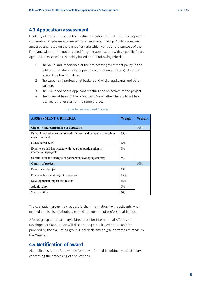#### <span id="page-13-0"></span>**4.3 Application assessment**

Eligibility of applications and their value in relation to the Fund's development cooperation emphases is assessed by an evaluation group. Applications are assessed and rated on the basis of criteria which consider the purpose of the Fund and whether the notice called for grant applications with a specific focus. Application assessment is mainly based on the following criteria:

- 1. The value and importance of the project for government policy in the field of international development cooperation and the goals of the relevant partner countries.
- 2. The career and professional background of the applicants and other partners.
- 3. The likelihood of the applicant reaching the objectives of the project.
- 4. The financial basis of the project and/or whether the applicant has received other grants for the same project.

| <b>ASSESSMENT CRITERIA</b>                                                            | Weight | Weight |  |  |
|---------------------------------------------------------------------------------------|--------|--------|--|--|
| Capacity and competence of applicants                                                 |        |        |  |  |
| Expert knowledge, technological solutions and company strength in<br>respective field | 15%    |        |  |  |
| Financial capacity                                                                    | 15%    |        |  |  |
| Experience and knowledge with regard to participation in<br>international projects    | $5\%$  |        |  |  |
| Contribution and strength of partners in developing country                           | $5\%$  |        |  |  |
| <b>Quality of project</b>                                                             |        |        |  |  |
| Relevance of project                                                                  | 15%    |        |  |  |
| Financial basis and project inspection                                                | 15%    |        |  |  |
| 15%<br>Developmental impact and results                                               |        |        |  |  |
| $5\%$<br>Additionality                                                                |        |        |  |  |
| Sustainability                                                                        | 10%    |        |  |  |

#### Table for Assessment Criteria

The evaluation group may request further information from applicants when needed and is also authorised to seek the opinion of professional bodies.

A focus group at the Ministry's Directorate for International Affairs and Development Cooperation will discuss the grants based on the opinion provided by the evaluation group. Final decisions on grant awards are made by the Minister.

#### <span id="page-13-1"></span>**4.4 Notification of award**

All applicants to the Fund will be formally informed in writing by the Ministry concerning the processing of applications.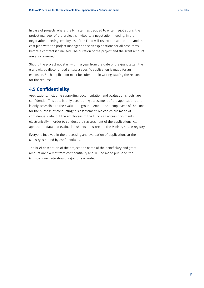In case of projects where the Minister has decided to enter negotiations, the project manager of the project is invited to a negotiation meeting. In the negotiation meeting, employees of the Fund will review the application and the cost plan with the project manager and seek explanations for all cost items before a contract is finalised. The duration of the project and the grant amount are also reviewed.

Should the project not start within a year from the date of the grant letter, the grant will be discontinued unless a specific application is made for an extension. Such application must be submitted in writing, stating the reasons for the request.

## <span id="page-14-0"></span>**4.5 Confidentiality**

Applications, including supporting documentation and evaluation sheets, are confidential. This data is only used during assessment of the applications and is only accessible to the evaluation group members and employees of the Fund for the purpose of conducting this assessment. No copies are made of confidential data, but the employees of the Fund can access documents electronically in order to conduct their assessment of the applications. All application data and evaluation sheets are stored in the Ministry's case registry.

Everyone involved in the processing and evaluation of applications at the Ministry is bound by confidentiality.

The brief description of the project, the name of the beneficiary and grant amount are exempt from confidentiality and will be made public on the Ministry's web site should a grant be awarded.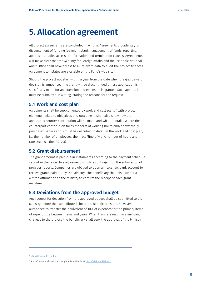## <span id="page-15-0"></span>**5. Allocation agreement**

All project agreements are concluded in writing. Agreements provide, i.a., for disbursement of funding (payment plan), management of funds, reporting, appraisals, audits, access to information and termination clauses. Agreements will make clear that the Ministry for Foreign Affairs and the Icelandic National Audit Office shall have access to all relevant data to audit the project finances. Agreement templates are available on the Fund's web site<sup>21</sup>.

Should the project not start within a year from the date when the grant award decision is announced, the grant will be discontinued unless application is specifically made for an extension and extension is granted. Such application must be submitted in writing, stating the reasons for the request.

#### <span id="page-15-1"></span>**5.1 Work and cost plan**

Agreements shall be supplemented by work and cost plans<sup>[22](#page-15-5)</sup> with project elements linked to objectives and outcome. It shall also show how the applicant's counter contribution will be made and what it entails. Where the counterpart contribution takes the form of working hours and/or externally purchased services, this must be described in detail in the work and cost plan, i.e. the number of employees, their role/line of work, number of hours and rates (see section 2.2–2.3).

#### <span id="page-15-2"></span>**5.2 Grant disbursement**

The grant amount is paid out in instalments according to the payment schedule set out in the respective agreement, which is contingent on the submission of progress reports. Companies are obliged to open an Icelandic bank account to receive grants paid out by the Ministry. The beneficiary shall also submit a written affirmation to the Ministry to confirm the receipt of each grant instalment.

#### <span id="page-15-3"></span>**5.3 Deviations from the approved budget**

Any request for deviation from the approved budget shall be submitted to the Ministry before the expenditure is incurred. Beneficiaries are, however, authorised to transfer the equivalent of 10% of expenses for the primary items of expenditure between items and years. When transfers result in significant changes to the project, the beneficiary shall seek the approval of the Ministry.

<span id="page-15-4"></span><sup>&</sup>lt;sup>21</sup> [utn.is/atvinnulifssjodur](https://www.stjornarradid.is/verkefni/utanrikismal/throunarsamvinna/samstarf-vid-atvinnulifid/samstarfssjodur/)

<span id="page-15-5"></span> $22$  A draft work and cost plan template is available a[t utn.is/atvinnulifssjodur](https://www.stjornarradid.is/verkefni/utanrikismal/throunarsamvinna/samstarf-vid-atvinnulifid/samstarfssjodur/)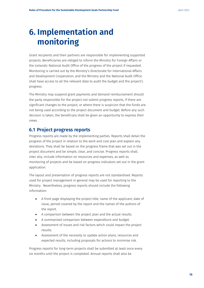# <span id="page-16-0"></span>**6. Implementation and monitoring**

Grant recipients and their partners are responsible for implementing supported projects. Beneficiaries are obliged to inform the Ministry for Foreign Affairs or the Icelandic National Audit Office of the progress of the project if requested. Monitoring is carried out by the Ministry's Directorate for International Affairs and Development Cooperation, and the Ministry and the National Audit Office shall have access to all the relevant data to audit the budget and the project's progress.

The Ministry may suspend grant payments and demand reimbursement should the party responsible for the project not submit progress reports, if there are significant changes to the project, or where there is suspicion that the funds are not being used according to the project document and budget. Before any such decision is taken, the beneficiary shall be given an opportunity to express their views.

#### <span id="page-16-1"></span>**6.1 Project progress reports**

Progress reports are made by the implementing parties. Reports shall detail the progress of the project in relation to the work and cost plan and explain any deviations. They shall be based on the progress frame that was set out in the project document and be simple, clear, and concise. Progress reports shall, inter alia, include information on resources and expenses, as well as monitoring of projects and be based on progress indicators set out in the grant application.

The layout and presentation of progress reports are not standardised. Reports used for project management in general may be used for reporting to the Ministry. Nevertheless, progress reports should include the following information:

- A front page displaying the project title, name of the applicant, date of issue, period covered by the report and the names of the authors of the report.
- A comparison between the project plan and the actual results.
- A summarized comparison between expenditure and budget.
- Assessment of issues and risk factors which could impact the project results.
- Assessment of the necessity to update action plans, resources and expected results, including proposals for actions to minimise risk.

Progress reports for long-term projects shall be submitted at least once every six months until the project is completed. Annual reports shall also be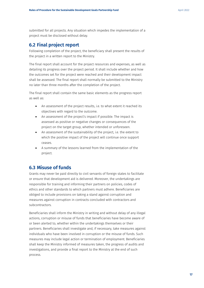submitted for all projects. Any situation which impedes the implementation of a project must be disclosed without delay.

#### <span id="page-17-0"></span>**6.2 Final project report**

Following completion of the project, the beneficiary shall present the results of the project in a written report to the Ministry.

The final report shall account for the project resources and expenses, as well as detailing its progress over the project period. It shall include whether and how the outcomes set for the project were reached and their development impact shall be assessed. The final report shall normally be submitted to the Ministry no later than three months after the completion of the project.

The final report shall contain the same basic elements as the progress report as well as:

- An assessment of the project results, i.e. to what extent it reached its objectives with regard to the outcome.
- An assessment of the project's impact if possible. The impact is assessed as positive or negative changes or consequences of the project on the target group, whether intended or unforeseen.
- An assessment of the sustainability of the project, i.e. the extent to which the positive impact of the project will continue once support ceases.
- A summary of the lessons learned from the implementation of the project.

## <span id="page-17-1"></span>**6.3 Misuse of funds**

Grants may never be paid directly to civil servants of foreign states to facilitate or ensure that development aid is delivered. Moreover, the undertakings are responsible for training and informing their partners on policies, codes of ethics and other standards to which partners must adhere. Beneficiaries are obliged to include provisions on taking a stand against corruption and measures against corruption in contracts concluded with contractors and subcontractors.

Beneficiaries shall inform the Ministry in writing and without delay of any illegal actions, corruption or misuse of funds that beneficiaries have become aware of or been alerted to, whether within the undertakings themselves or their partners. Beneficiaries shall investigate and, if necessary, take measures against individuals who have been involved in corruption or the misuse of funds. Such measures may include legal action or termination of employment. Beneficiaries shall keep the Ministry informed of measures taken, the progress of audits and investigations, and provide a final report to the Ministry at the end of such process.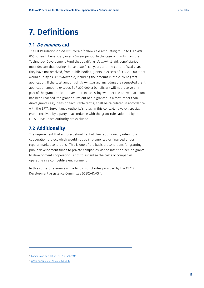# <span id="page-19-0"></span>**7. Definitions**

### <span id="page-19-1"></span>**7.1 De minimis aid**

The EU Regulation on *de minimis* aid<sup>[23](#page-19-3)</sup> allows aid amounting to up to EUR 200 000 for each beneficiary over a 3-year period. In the case of grants from the Technology Development Fund that qualify as *de minimis* aid, beneficiaries must declare that, during the last two fiscal years and the current fiscal year, they have not received, from public bodies, grants in excess of EUR 200 000 that would qualify as *de minimis* aid, including the amount in the current grant application. If the total amount of  $de$  minimis aid, including the requested grant application amount, exceeds EUR 200 000, a beneficiary will not receive any part of the grant application amount. In assessing whether the above maximum has been reached, the grant equivalent of aid granted in a form other than direct grants (e.g., loans on favourable terms) shall be calculated in accordance with the EFTA Surveillance Authority's rules. In this context, however, special grants received by a party in accordance with the grant rules adopted by the EFTA Surveillance Authority are excluded.

### <span id="page-19-2"></span>**7.2 Additionality**

The requirement that a project should entail clear additionality refers to a cooperation project which would not be implemented or financed under regular market conditions. This is one of the basic preconditions for granting public development funds to private companies, as the intention behind grants to development cooperation is not to subsidise the costs of companies operating in a competitive environment.

In this context, reference is made to distinct rules provided by the OECD Development Assistance Committee (OECD-DAC)<sup>24</sup>.

<span id="page-19-3"></span><sup>&</sup>lt;sup>23</sup> [Commission Regulation \(EU\) No 1407/2013](https://eur-lex.europa.eu/legal-content/EN/TXT/HTML/?uri=CELEX:32013R1407&from=EN)

<span id="page-19-4"></span><sup>24</sup> [OECD DAC Blended Finance Principle](https://www.oecd.org/dac/financing-sustainable-development/development-finance-topics/OECD-Blended-Finance-Principles.pdf)